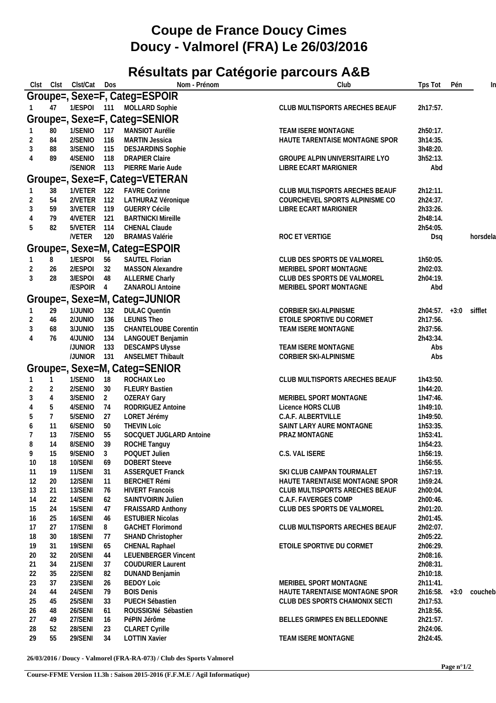## **Coupe de France Doucy Cimes Doucy - Valmorel (FRA) Le 26/03/2016**

## **Résultats par Catégorie parcours A&B**

| Clst |                | Clst Clst/Cat      | Dos      | Nom - Prénom                                  | Club                                  | Tps Tot              | Pén    | In       |
|------|----------------|--------------------|----------|-----------------------------------------------|---------------------------------------|----------------------|--------|----------|
|      |                |                    |          | Groupe=, Sexe=F, Categ=ESPOIR                 |                                       |                      |        |          |
|      | 47             |                    |          | 1/ESPOI 111 MOLLARD Sophie                    | CLUB MULTISPORTS ARECHES BEAUF        | 2h17:57.             |        |          |
|      |                |                    |          |                                               |                                       |                      |        |          |
|      |                |                    |          | Groupe=, Sexe=F, Categ=SENIOR                 |                                       |                      |        |          |
|      | 80             | 1/SENIO 117        |          | MANSIOT Aurélie                               | TEAM ISERE MONTAGNE                   | 2h50:17.             |        |          |
|      | 84             | 2/SENIO            | 116      | <b>MARTIN Jessica</b>                         | HAUTE TARENTAISE MONTAGNE SPOR        | 3h14:35.             |        |          |
|      | 88             | 3/SENIO            | 115      | <b>DESJARDINS Sophie</b>                      |                                       | 3h48:20.             |        |          |
|      | 89             | 4/SENIO 118        |          | <b>DRAPIER Claire</b>                         | <b>GROUPE ALPIN UNIVERSITAIRE LYO</b> | 3h52:13.             |        |          |
|      |                | /SENIOR 113        |          | PIERRE Marie Aude                             | LIBRE ECART MARIGNIER                 | Abd                  |        |          |
|      |                |                    |          | Groupe=, Sexe=F, Categ=VETERAN                |                                       |                      |        |          |
|      | 38             | 1/VETER 122        |          | <b>FAVRE Corinne</b>                          | CLUB MULTISPORTS ARECHES BEAUF        | 2h12:11.             |        |          |
|      | 54             | 2/VETER 112        |          | LATHURAZ Véronique                            | COURCHEVEL SPORTS ALPINISME CO        | 2h24:37.             |        |          |
| 3    | 59             | 3/VETER 119        |          | <b>GUERRY Cécile</b>                          | LIBRE ECART MARIGNIER                 | 2h33:26.             |        |          |
|      | 79             | 4/VETER 121        |          | <b>BARTNICKI Mireille</b>                     |                                       | 2h48:14.             |        |          |
| 5    | 82             | 5/VETER 114        |          | CHENAL Claude                                 |                                       | 2h54:05.             |        |          |
|      |                | /VETER 120         |          | <b>BRAMAS Valérie</b>                         | ROC ET VERTIGE                        | Dsq                  |        | horsdela |
|      |                |                    |          | Groupe=, Sexe=M, Categ=ESPOIR                 |                                       |                      |        |          |
|      |                |                    |          |                                               |                                       |                      |        |          |
|      | 8              | 1/ESPOI 56         |          | SAUTEL Florian                                | CLUB DES SPORTS DE VALMOREL           | 1h50:05.             |        |          |
|      | 26             | 2/ESPOI            | 32       | MASSON Alexandre                              | MERIBEL SPORT MONTAGNE                | 2h02:03.             |        |          |
| 3    | 28             | 3/ESPOI            | 48       | <b>ALLERME Charly</b>                         | CLUB DES SPORTS DE VALMOREL           | 2h04:19.             |        |          |
|      |                | /ESPOIR 4          |          | ZANAROLI Antoine                              | MERIBEL SPORT MONTAGNE                | Abd                  |        |          |
|      |                |                    |          | Groupe=, Sexe=M, Categ=JUNIOR                 |                                       |                      |        |          |
|      | 29             | 1/JUNIO 132        |          | <b>DULAC Quentin</b>                          | CORBIER SKI-ALPINISME                 | $2h04:57. +3:0$      |        | sifflet  |
|      | 46             | 2/JUNIO            | 136      | <b>LEUNIS Theo</b>                            | ETOILE SPORTIVE DU CORMET             | 2h17:56.             |        |          |
| 3    | 68             | 3/JUNIO            | 135      | <b>CHANTELOUBE Corentin</b>                   | TEAM ISERE MONTAGNE                   | 2h37:56.             |        |          |
|      | 76             | 4/JUNIO            | 134      | LANGOUET Benjamin                             |                                       | 2h43:34.             |        |          |
|      |                | /JUNIOR 133        |          | <b>DESCAMPS Ulysse</b>                        | TEAM ISERE MONTAGNE                   | Abs                  |        |          |
|      |                | /JUNIOR 131        |          | ANSELMET Thibault                             | CORBIER SKI-ALPINISME                 | Abs                  |        |          |
|      |                |                    |          | Groupe=, Sexe=M, Categ=SENIOR                 |                                       |                      |        |          |
|      |                | 1/SENIO            | 18       | ROCHAIX Leo                                   | CLUB MULTISPORTS ARECHES BEAUF        | 1h43:50.             |        |          |
|      | 2              | 2/SENIO            | 30       | <b>FLEURY Bastien</b>                         |                                       | 1h44:20.             |        |          |
| 3    | 4              | 3/SENIO            | 2        | <b>OZERAY Gary</b>                            | MERIBEL SPORT MONTAGNE                | 1h47:46.             |        |          |
| 4    | 5              | 4/SENIO            | 74       | RODRIGUEZ Antoine                             | Licence HORS CLUB                     | 1h49:10.             |        |          |
| 5    | $\overline{7}$ | 5/SENIO            | 27       | LORET Jérémy                                  | C.A.F. ALBERTVILLE                    | 1h49:50.             |        |          |
|      | 11             | 6/SENIO            | 50       | <b>THEVIN LOIC</b>                            | SAINT LARY AURE MONTAGNE              | 1h53:35.             |        |          |
| 6    | 13             | 7/SENIO            | 55       | SOCQUET JUGLARD Antoine                       | PRAZ MONTAGNE                         | 1h53:41.             |        |          |
| 8    | 14             | 8/SENIO            | 39       | ROCHE Tanguy                                  |                                       | 1h54:23.             |        |          |
| 9    | 15             | $9/SENIO$ 3        |          | POQUET Julien                                 | C.S. VAL ISERE                        | 1h56:19.             |        |          |
| 10   | 18             | 10/SENI            | 69       | <b>DOBERT Steeve</b>                          |                                       | 1h56:55.             |        |          |
| 11   | 19             | 11/SENI            | 31       | <b>ASSERQUET Franck</b>                       | SKI CLUB CAMPAN TOURMALET             | 1h57:19.             |        |          |
| 12   | 20             | 12/SENI            | 11       | <b>BERCHET Rémi</b>                           | HAUTE TARENTAISE MONTAGNE SPOR        | 1h59:24.             |        |          |
| 13   | 21             | 13/SENI            | 76       | <b>HIVERT Francois</b>                        | CLUB MULTISPORTS ARECHES BEAUF        | 2h00:04.             |        |          |
| 14   | 22             | 14/SENI            | 62       | SAINTVOIRIN Julien                            | C.A.F. FAVERGES COMP                  | 2h00:46.             |        |          |
| 15   | 24             | 15/SENI            | 47       | FRAISSARD Anthony                             | CLUB DES SPORTS DE VALMOREL           | 2h01:20.             |        |          |
| 16   | 25             | 16/SENI            | 46       | <b>ESTUBIER Nicolas</b>                       |                                       | 2h01:45.             |        |          |
| 17   | 27             | 17/SENI            | 8        | <b>GACHET Florimond</b>                       | CLUB MULTISPORTS ARECHES BEAUF        | 2h02:07.             |        |          |
| 18   | 30             | 18/SENI            | 77       | SHAND Christopher                             |                                       | 2h05:22.             |        |          |
| 19   | 31             | 19/SENI            | 65       | CHENAL Raphael                                | ETOILE SPORTIVE DU CORMET             | 2h06:29.             |        |          |
| 20   | 32             | 20/SENI            | 44       | <b>LEUENBERGER Vincent</b>                    |                                       | 2h08:16.             |        |          |
| 21   | 34             | 21/SENI            | 37       | <b>COUDURIER Laurent</b>                      |                                       | 2h08:31.             |        |          |
| 22   | 35             | 22/SENI            | 82       | DUNAND Benjamin                               |                                       | 2h10:18.             |        |          |
| 23   | 37             | 23/SENI            | 26       | <b>BEDOY Loic</b>                             | MERIBEL SPORT MONTAGNE                | 2h11:41.             |        |          |
| 24   | 44             | 24/SENI            | 79       | <b>BOIS Denis</b>                             | HAUTE TARENTAISE MONTAGNE SPOR        | 2h16:58.             | $+3:0$ | coucheb  |
|      | 45             | 25/SENI            | 33       | PUECH Sébastien                               | CLUB DES SPORTS CHAMONIX SECTI        | 2h17:53.             |        |          |
| 25   | 48             | 26/SENI            | 61       | ROUSSIGNé Sébastien                           |                                       | 2h18:56.             |        |          |
| 26   |                | 27/SENI            | 16       | PéPIN Jérôme                                  | BELLES GRIMPES EN BELLEDONNE          | 2h21:57.             |        |          |
| 27   | 49             |                    |          |                                               |                                       |                      |        |          |
| 28   | 52<br>55       | 28/SENI<br>29/SENI | 23<br>34 | <b>CLARET Cyrille</b><br><b>LOTTIN Xavier</b> | TEAM ISERE MONTAGNE                   | 2h24:06.<br>2h24:45. |        |          |
| 29   |                |                    |          |                                               |                                       |                      |        |          |

**26/03/2016 / Doucy - Valmorel (FRA-RA-073) / Club des Sports Valmorel**